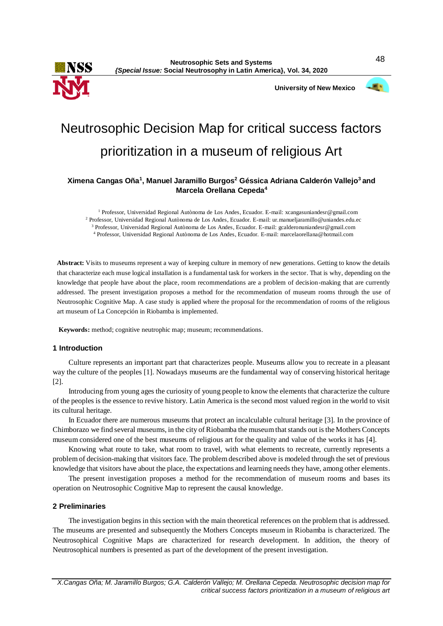

**University of New Mexico**



# Neutrosophic Decision Map for critical success factors prioritization in a museum of religious Art

## **Ximena Cangas Oña<sup>1</sup> , Manuel Jaramillo Burgos<sup>2</sup> Géssica Adriana Calderón Vallejo<sup>3</sup>and Marcela Orellana Cepeda<sup>4</sup>**

 Professor, Universidad Regional Autònoma de Los Andes, Ecuador. E-mail[: xcangasuniandesr@gmail.com](mailto:xcangasuniandesr@gmail.com) Professor, Universidad Regional Autònoma de Los Andes, Ecuador. E-mail: ur.manueljaramillo@uniandes.edu.ec Professor, Universidad Regional Autònoma de Los Andes, Ecuador. E-mail[: gcalderonuniandesr@gmail.com](mailto:gcalderonuniandesr@gmail.com) Professor, Universidad Regional Autònoma de Los Andes, Ecuador. E-mail: marcelaorellana@hotmail.com

**Abstract:** Visits to museums represent a way of keeping culture in memory of new generations. Getting to know the details that characterize each muse logical installation is a fundamental task for workers in the sector. That is why, depending on the knowledge that people have about the place, room recommendations are a problem of decision-making that are currently addressed. The present investigation proposes a method for the recommendation of museum rooms through the use of Neutrosophic Cognitive Map. A case study is applied where the proposal for the recommendation of rooms of the religious art museum of La Concepción in Riobamba is implemented.

**Keywords:** method; cognitive neutrophic map; museum; recommendations.

#### **1 Introduction**

Culture represents an important part that characterizes people. Museums allow you to recreate in a pleasant way the culture of the peoples [1]. Nowadays museums are the fundamental way of conserving historical heritage [2].

Introducing from young ages the curiosity of young people to know the elements that characterize the culture of the peoples is the essence to revive history. Latin America is the second most valued region in the world to visit its cultural heritage.

In Ecuador there are numerous museums that protect an incalculable cultural heritage [3]. In the province of Chimborazo we find several museums, in the city of Riobamba the museum that stands out is the Mothers Concepts museum considered one of the best museums of religious art for the quality and value of the works it has [4].

Knowing what route to take, what room to travel, with what elements to recreate, currently represents a problem of decision-making that visitors face. The problem described above is modeled through the set of previous knowledge that visitors have about the place, the expectations and learning needs they have, among other elements.

The present investigation proposes a method for the recommendation of museum rooms and bases its operation on Neutrosophic Cognitive Map to represent the causal knowledge.

## **2 Preliminaries**

The investigation begins in this section with the main theoretical references on the problem that is addressed. The museums are presented and subsequently the Mothers Concepts museum in Riobamba is characterized. The Neutrosophical Cognitive Maps are characterized for research development. In addition, the theory of Neutrosophical numbers is presented as part of the development of the present investigation.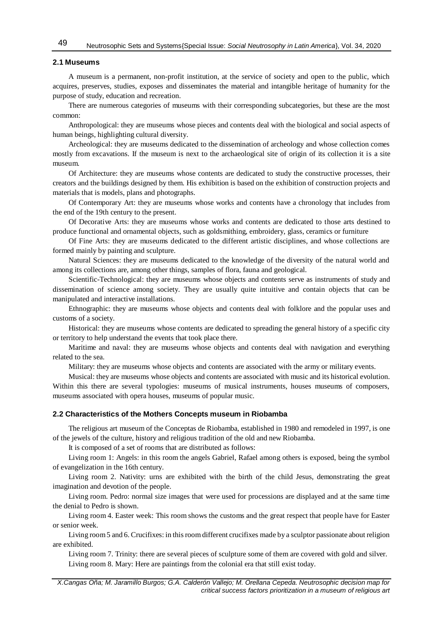## **2.1 Museums**

A museum is a permanent, non-profit institution, at the service of society and open to the public, which acquires, preserves, studies, exposes and disseminates the material and intangible heritage of humanity for the purpose of study, education and recreation.

There are numerous categories of museums with their corresponding subcategories, but these are the most common:

Anthropological: they are museums whose pieces and contents deal with the biological and social aspects of human beings, highlighting cultural diversity.

Archeological: they are museums dedicated to the dissemination of archeology and whose collection comes mostly from excavations. If the museum is next to the archaeological site of origin of its collection it is a site museum.

Of Architecture: they are museums whose contents are dedicated to study the constructive processes, their creators and the buildings designed by them. His exhibition is based on the exhibition of construction projects and materials that is models, plans and photographs.

Of Contemporary Art: they are museums whose works and contents have a chronology that includes from the end of the 19th century to the present.

Of Decorative Arts: they are museums whose works and contents are dedicated to those arts destined to produce functional and ornamental objects, such as goldsmithing, embroidery, glass, ceramics or furniture

Of Fine Arts: they are museums dedicated to the different artistic disciplines, and whose collections are formed mainly by painting and sculpture.

Natural Sciences: they are museums dedicated to the knowledge of the diversity of the natural world and among its collections are, among other things, samples of flora, fauna and geological.

Scientific-Technological: they are museums whose objects and contents serve as instruments of study and dissemination of science among society. They are usually quite intuitive and contain objects that can be manipulated and interactive installations.

Ethnographic: they are museums whose objects and contents deal with folklore and the popular uses and customs of a society.

Historical: they are museums whose contents are dedicated to spreading the general history of a specific city or territory to help understand the events that took place there.

Maritime and naval: they are museums whose objects and contents deal with navigation and everything related to the sea.

Military: they are museums whose objects and contents are associated with the army or military events.

Musical: they are museums whose objects and contents are associated with music and its historical evolution. Within this there are several typologies: museums of musical instruments, houses museums of composers, museums associated with opera houses, museums of popular music.

## **2.2 Characteristics of the Mothers Concepts museum in Riobamba**

The religious art museum of the Conceptas de Riobamba, established in 1980 and remodeled in 1997, is one of the jewels of the culture, history and religious tradition of the old and new Riobamba.

It is composed of a set of rooms that are distributed as follows:

Living room 1: Angels: in this room the angels Gabriel, Rafael among others is exposed, being the symbol of evangelization in the 16th century.

Living room 2. Nativity: urns are exhibited with the birth of the child Jesus, demonstrating the great imagination and devotion of the people.

Living room. Pedro: normal size images that were used for processions are displayed and at the same time the denial to Pedro is shown.

Living room 4. Easter week: This room shows the customs and the great respect that people have for Easter or senior week.

Living room5 and 6. Crucifixes: in this room different crucifixes made by a sculptor passionate about religion are exhibited.

Living room 7. Trinity: there are several pieces of sculpture some of them are covered with gold and silver. Living room 8. Mary: Here are paintings from the colonial era that still exist today.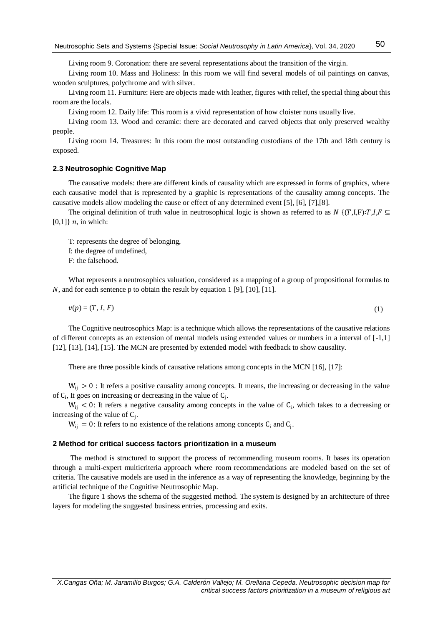Living room 9. Coronation: there are several representations about the transition of the virgin.

Living room 10. Mass and Holiness: In this room we will find several models of oil paintings on canvas, wooden sculptures, polychrome and with silver.

Living room 11. Furniture: Here are objects made with leather, figures with relief, the special thing about this room are the locals.

Living room 12. Daily life: This room is a vivid representation of how cloister nuns usually live.

Living room 13. Wood and ceramic: there are decorated and carved objects that only preserved wealthy people.

Living room 14. Treasures: In this room the most outstanding custodians of the 17th and 18th century is exposed.

### **2.3 Neutrosophic Cognitive Map**

The causative models: there are different kinds of causality which are expressed in forms of graphics, where each causative model that is represented by a graphic is representations of the causality among concepts. The causative models allow modeling the cause or effect of any determined event [5], [6], [7],[8].

The original definition of truth value in neutrosophical logic is shown as referred to as  $N \{(T,I,F): T, I, F \subseteq$  $[0,1]$  n, in which:

T: represents the degree of belonging, I: the degree of undefined, F: the falsehood.

What represents a neutrosophics valuation, considered as a mapping of a group of propositional formulas to N, and for each sentence p to obtain the result by equation 1 [9], [10], [11].

$$
v(p) = (T, I, F) \tag{1}
$$

The Cognitive neutrosophics Map: is a technique which allows the representations of the causative relations of different concepts as an extension of mental models using extended values or numbers in a interval of [-1,1] [\[12\]](#page-8-0), [\[13\]](#page-8-1), [14], [15]. The MCN are presented by extended model with feedback to show causality.

There are three possible kinds of causative relations among concepts in the MCN [16], [17]:

 $W_{ii} > 0$ : It refers a positive causality among concepts. It means, the increasing or decreasing in the value of  $C_i$ , It goes on increasing or decreasing in the value of  $C_j$ .

 $W_{ij}$  < 0: It refers a negative causality among concepts in the value of  $C_i$ , which takes to a decreasing or increasing of the value of  $C_j$ .

 $W_{ij} = 0$ : It refers to no existence of the relations among concepts  $C_i$  and  $C_j$ .

#### **2 Method for critical success factors prioritization in a museum**

The method is structured to support the process of recommending museum rooms. It bases its operation through a multi-expert multicriteria approach where room recommendations are modeled based on the set of criteria. The causative models are used in the inference as a way of representing the knowledge, beginning by the artificial technique of the Cognitive Neutrosophic Map.

The figure 1 shows the schema of the suggested method. The system is designed by an architecture of three layers for modeling the suggested business entries, processing and exits.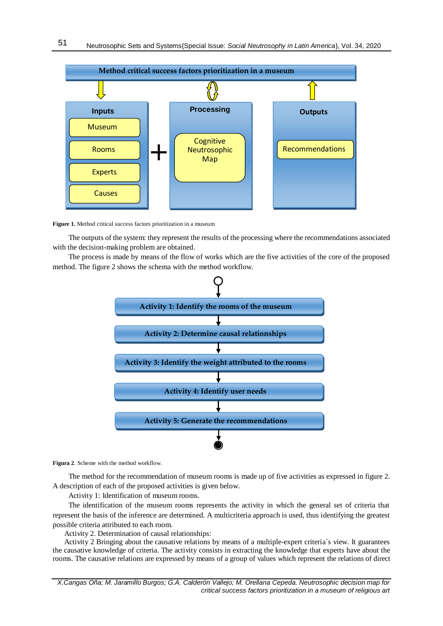

**Figure 1.** Method critical success factors prioritization in a museum

The outputs of the system: they represent the results of the processing where the recommendations associated with the decision-making problem are obtained.

The process is made by means of the flow of works which are the five activities of the core of the proposed method. The figure 2 shows the schema with the method workflow.



**Figura 2**. Scheme with the method workflow.

The method for the recommendation of museum rooms is made up of five activities as expressed in figure 2. A description of each of the proposed activities is given below.

Activity 1: Identification of museum rooms.

The identification of the museum rooms represents the activity in which the general set of criteria that represent the basis of the inference are determined. A multicriteria approach is used, thus identifying the greatest possible criteria attributed to each room.

Activity 2. Determination of causal relationships:

Activity 2 Bringing about the causative relations by means of a multiple-expert criteria`s view. It guarantees the causative knowledge of criteria. The activity consists in extracting the knowledge that experts have about the rooms. The causative relations are expressed by means of a group of values which represent the relations of direct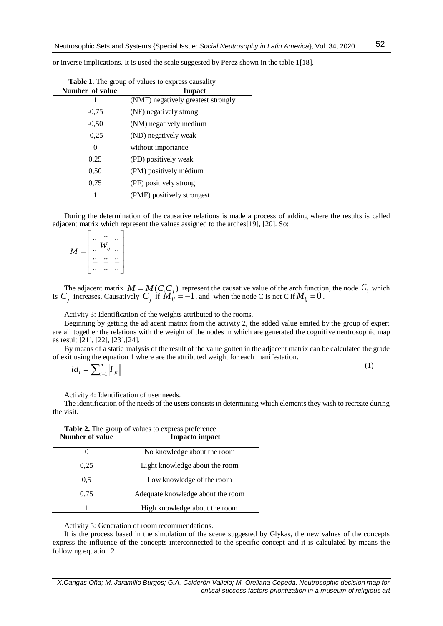or inverse implications. It is used the scale suggested by Perez shown in the table 1[18].

| Number of value | Impact                             |
|-----------------|------------------------------------|
| 1               | (NMF) negatively greatest strongly |
| $-0.75$         | (NF) negatively strong             |
| $-0.50$         | (NM) negatively medium             |
| $-0.25$         | (ND) negatively weak               |
| 0               | without importance                 |
| 0.25            | (PD) positively weak               |
| 0.50            | (PM) positively médium             |
| 0.75            | (PF) positively strong             |
| 1               | (PMF) positively strongest         |

| <b>Table 1.</b> The group of values to express causality |  |
|----------------------------------------------------------|--|
|                                                          |  |

During the determination of the causative relations is made a process of adding where the results is called adjacent matrix which represent the values assigned to the arches[19], [20]. So:

$$
M = \left[ \begin{array}{c} \frac{\cdots}{\cdots} & \frac{\cdots}{\cdots} \\ \frac{\cdots}{\cdots} & \frac{\cdots}{\cdots} \\ \cdots & \cdots & \cdots \end{array} \right]
$$

The adjacent matrix  $M = M(C_i C_j)$  represent the causative value of the arch function, the node  $C_i$  which is  $C_j$  increases. Causatively  $C_j$  if  $\overline{M}_{ij}^{\prime\prime} = -1$ , and when the node C is not C if  $M_{ij} = 0$ .

Activity 3: Identification of the weights attributed to the rooms.

Beginning by getting the adjacent matrix from the activity 2, the added value emited by the group of expert are all together the relations with the weight of the nodes in which are generated the cognitive neutrosophic map as result [21], [22], [23],[24].

By means of a static analysis of the result of the value gotten in the adjacent matrix can be calculated the grade of exit using the equation 1 where are the attributed weight for each manifestation.

$$
id_i = \sum_{i=1}^n \left| I_{ji} \right| \tag{1}
$$

Activity 4: Identification of user needs.

The identification of the needs of the users consists in determining which elements they wish to recreate during the visit.

| <b>Table 2.</b> The group of values to express preference |                                   |  |  |  |  |  |  |
|-----------------------------------------------------------|-----------------------------------|--|--|--|--|--|--|
| Number of value                                           | <b>Impacto impact</b>             |  |  |  |  |  |  |
| $\mathbf{\Omega}$                                         | No knowledge about the room       |  |  |  |  |  |  |
| 0.25                                                      | Light knowledge about the room    |  |  |  |  |  |  |
| 0.5                                                       | Low knowledge of the room         |  |  |  |  |  |  |
| 0.75                                                      | Adequate knowledge about the room |  |  |  |  |  |  |
| 1                                                         | High knowledge about the room     |  |  |  |  |  |  |

Activity 5: Generation of room recommendations.

It is the process based in the simulation of the scene suggested by Glykas, the new values of the concepts express the influence of the concepts interconnected to the specific concept and it is calculated by means the following equation 2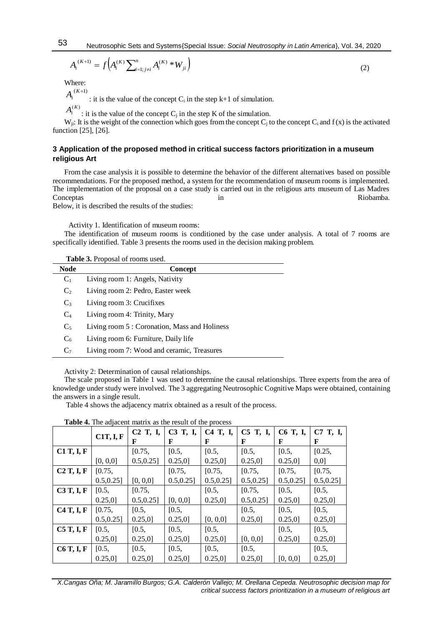(2)

$$
A_i^{(K+1)} = f\Big(A_i^{(K)} \sum_{i=1; j\neq i}^n A_i^{(K)} * W_{ji}\Big)
$$

Where:

$$
A_i^{(K+1)}
$$
: it is the value of the concept C<sub>i</sub> in the step k+1 of simulation.

 $A_i^{(K)}$ : it is the value of the concept C<sub>j</sub> in the step K of the simulation.

W<sub>ii</sub>: It is the weight of the connection which goes from the concept C<sub>i</sub> to the concept C<sub>i</sub> and  $f(x)$  is the activated function [25], [26].

## **3 Application of the proposed method in critical success factors prioritization in a museum religious Art**

From the case analysis it is possible to determine the behavior of the different alternatives based on possible recommendations. For the proposed method, a system for the recommendation of museum rooms is implemented. The implementation of the proposal on a case study is carried out in the religious arts museum of Las Madres Conceptas and the conceptable in the conceptable in the conceptable conceptable conceptable conceptable concept in  $\mathbb{R}$  is  $\mathbb{R}$  and  $\mathbb{R}$  in  $\mathbb{R}$  is  $\mathbb{R}$  is  $\mathbb{R}$  in  $\mathbb{R}$  is  $\mathbb{R}$  is  $\mathbb{R}$  i

Below, it is described the results of the studies:

Activity 1. Identification of museum rooms:

The identification of museum rooms is conditioned by the case under analysis. A total of 7 rooms are specifically identified. Table 3 presents the rooms used in the decision making problem.

| Table 3. Proposal of rooms used. |  |  |  |  |  |  |  |
|----------------------------------|--|--|--|--|--|--|--|
|----------------------------------|--|--|--|--|--|--|--|

| <b>Node</b>    | <b>Concept</b>                                |
|----------------|-----------------------------------------------|
| $C_1$          | Living room 1: Angels, Nativity               |
| C <sub>2</sub> | Living room 2: Pedro, Easter week             |
| $C_3$          | Living room 3: Crucifixes                     |
| $C_4$          | Living room 4: Trinity, Mary                  |
| $C_5$          | Living room 5 : Coronation, Mass and Holiness |
| C <sub>6</sub> | Living room 6: Furniture, Daily life          |
| C <sub>7</sub> | Living room 7: Wood and ceramic, Treasures    |
|                |                                               |

Activity 2: Determination of causal relationships.

The scale proposed in Table 1 was used to determine the causal relationships. Three experts from the area of knowledge under study were involved. The 3 aggregating Neutrosophic Cognitive Maps were obtained, containing the answers in a single result.

Table 4 shows the adjacency matrix obtained as a result of the process.

|                   |               | C <sub>2</sub> T, I, | C3 T, I,      | C4 T, I,   | C5 T, I,      | C6 T, I,   | C7 T, I,  |
|-------------------|---------------|----------------------|---------------|------------|---------------|------------|-----------|
|                   | C1T, I, F     | F                    | F             | F          | F             | F          | F         |
| $C1$ T, I, F      |               | [0.75,               | [0.5,         | [0.5,      | [0.5,         | [0.5,      | [0.25,    |
|                   | [0, 0, 0]     | $0.5, 0.25$ ]        | 0.25,0]       | 0.25,0]    | $0.25,0$ ]    | 0.25,0     | 0,0]      |
| C2T, I, F         | [0.75,        |                      | [0.75,        | [0.75,     | [0.75,        | [0.75,     | [0.75,    |
|                   | $0.5, 0.25$ ] | [0, 0, 0]            | $0.5, 0.25$ ] | 0.5, 0.25] | $0.5, 0.25$ ] | 0.5, 0.25  | 0.5, 0.25 |
| C3T, I, F         | [0.5,         | [0.75,               |               | [0.5,      | [0.75,        | [0.5,      | [0.5,     |
|                   | 0.25,0        | $0.5, 0.25$ ]        | [0, 0, 0]     | 0.25,0     | $0.5, 0.25$ ] | 0.25,0     | 0.25,0]   |
| C4T, I, F         | [0.75,        | [0.5,                | [0.5,         |            | [0.5,         | [0.5,      | [0.5,     |
|                   | $0.5, 0.25$ ] | 0.25,0               | $0.25,0$ ]    | [0, 0, 0]  | $0.25,0$ ]    | 0.25,0     | 0.25,0    |
| C5T, I, F         | [0.5,         | [0.5,                | [0.5,         | [0.5,      |               | [0.5,      | [0.5,     |
|                   | $0.25,0$ ]    | 0.25,0               | $0.25,0$ ]    | 0.25,0     | [0, 0, 0]     | $0.25,0$ ] | 0.25,0    |
| <b>C6 T, I, F</b> | [0.5,         | [0.5,                | [0.5,         | [0.5,      | [0.5,         |            | [0.5,     |
|                   | 0.25,0        | 0.25,0               | 0.25,0        | 0.25,0     | 0.25,0        | [0, 0.0]   | 0.25.01   |

**Table 4.** The adjacent matrix as the result of the process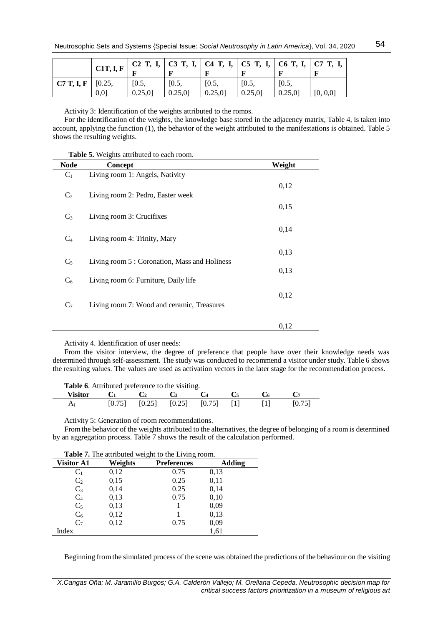|                                         | C1T, I, F |        |        |        | C <sub>2</sub> T, I,   C <sub>3</sub> T, I,   C <sub>4</sub> T, I,   C <sub>5</sub> T, I,   C <sub>6</sub> T, I,   C <sub>7</sub> T, I, |        |           |
|-----------------------------------------|-----------|--------|--------|--------|-----------------------------------------------------------------------------------------------------------------------------------------|--------|-----------|
| $\mathbf{C7}$ T, I, F $\mathbf{[0.25,}$ |           | [0.5,  | [0.5,  | [0.5,  | [0.5,                                                                                                                                   | [0.5,  |           |
|                                         | 0.01      | 0.25,0 | 0.25,0 | 0.25,0 | 0.25,0                                                                                                                                  | 0.25,0 | [0, 0, 0] |

Activity 3: Identification of the weights attributed to the romos.

For the identification of the weights, the knowledge base stored in the adjacency matrix, Table 4, is taken into account, applying the function (1), the behavior of the weight attributed to the manifestations is obtained. Table 5 shows the resulting weights.

|                | Table 5. Weights attributed to each room.     |        |
|----------------|-----------------------------------------------|--------|
| <b>Node</b>    | Concept                                       | Weight |
| $C_1$          | Living room 1: Angels, Nativity               |        |
|                |                                               | 0,12   |
| C <sub>2</sub> | Living room 2: Pedro, Easter week             |        |
| $C_3$          | Living room 3: Crucifixes                     | 0,15   |
|                |                                               | 0,14   |
| $C_4$          | Living room 4: Trinity, Mary                  |        |
|                |                                               | 0,13   |
| $C_5$          | Living room 5 : Coronation, Mass and Holiness |        |
|                |                                               | 0,13   |
| $C_6$          | Living room 6: Furniture, Daily life          |        |
|                |                                               | 0,12   |
| $C_7$          | Living room 7: Wood and ceramic, Treasures    |        |
|                |                                               | 0,12   |

Activity 4. Identification of user needs:

From the visitor interview, the degree of preference that people have over their knowledge needs was determined through self-assessment. The study was conducted to recommend a visitor under study. Table 6 shows the resulting values. The values are used as activation vectors in the later stage for the recommendation process.

| <b>Table 6.</b> Attributed preference to the visiting. |  |        |        |        |  |  |  |
|--------------------------------------------------------|--|--------|--------|--------|--|--|--|
| Visitor                                                |  |        |        |        |  |  |  |
|                                                        |  | [0.25] | [0.25] | [0.75] |  |  |  |

Activity 5: Generation of room recommendations.

From the behavior of the weights attributed to the alternatives, the degree of belonging of a room is determined by an aggregation process. Table 7 shows the result of the calculation performed.

| <b>Table 7.</b> The authoried weight to the Living Foom. |         |                    |               |  |  |  |  |  |
|----------------------------------------------------------|---------|--------------------|---------------|--|--|--|--|--|
| <b>Visitor A1</b>                                        | Weights | <b>Preferences</b> | <b>Adding</b> |  |  |  |  |  |
| $C_1$                                                    | 0,12    | 0.75               | 0,13          |  |  |  |  |  |
| $C_2$                                                    | 0.15    | 0.25               | 0,11          |  |  |  |  |  |
| $C_3$                                                    | 0,14    | 0.25               | 0,14          |  |  |  |  |  |
| $C_4$                                                    | 0,13    | 0.75               | 0,10          |  |  |  |  |  |
| $C_5$                                                    | 0,13    |                    | 0.09          |  |  |  |  |  |

 $C_6$  0,12 1 0,13  $C_7$  0,12 0.75 0,09 Index 1,61

**Table 7.** The attributed weight to the Living room.

Beginning from the simulated process of the scene was obtained the predictions of the behaviour on the visiting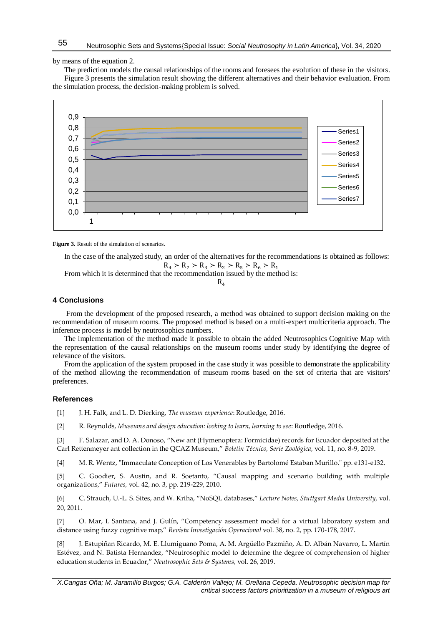by means of the equation 2.

The prediction models the causal relationships of the rooms and foresees the evolution of these in the visitors. Figure 3 presents the simulation result showing the different alternatives and their behavior evaluation. From the simulation process, the decision-making problem is solved.



**Figure 3.** Result of the simulation of scenarios.

In the case of the analyzed study, an order of the alternatives for the recommendations is obtained as follows:  $R_4$  >  $R_7$  >  $R_3$  >  $R_2$  >  $R_5$  >  $R_6$  >  $R_1$ 

From which it is determined that the recommendation issued by the method is:

 $R<sub>4</sub>$ 

#### **4 Conclusions**

From the development of the proposed research, a method was obtained to support decision making on the recommendation of museum rooms. The proposed method is based on a multi-expert multicriteria approach. The inference process is model by neutrosophics numbers.

The implementation of the method made it possible to obtain the added Neutrosophics Cognitive Map with the representation of the causal relationships on the museum rooms under study by identifying the degree of relevance of the visitors.

From the application of the system proposed in the case study it was possible to demonstrate the applicability of the method allowing the recommendation of museum rooms based on the set of criteria that are visitors' preferences.

#### **References**

- [1] J. H. Falk, and L. D. Dierking, *The museum experience*: Routledge, 2016.
- [2] R. Reynolds, *Museums and design education: looking to learn, learning to see*: Routledge, 2016.

[3] F. Salazar, and D. A. Donoso, "New ant (Hymenoptera: Formicidae) records for Ecuador deposited at the Carl Rettenmeyer ant collection in the QCAZ Museum," *Boletín Técnico, Serie Zoológica,* vol. 11, no. 8-9, 2019.

[4] M. R. Wentz, "Immaculate Conception of Los Venerables by Bartolomé Estaban Murillo." pp. e131-e132.

[5] C. Goodier, S. Austin, and R. Soetanto, "Causal mapping and scenario building with multiple organizations," *Futures,* vol. 42, no. 3, pp. 219-229, 2010.

[6] C. Strauch, U.-L. S. Sites, and W. Kriha, "NoSQL databases," *Lecture Notes, Stuttgart Media University,* vol. 20, 2011.

[7] O. Mar, I. Santana, and J. Gulín, "Competency assessment model for a virtual laboratory system and distance using fuzzy cognitive map," *Revista Investigación Operacional* vol. 38, no. 2, pp. 170-178, 2017.

[8] J. Estupiñan Ricardo, M. E. Llumiguano Poma, A. M. Argüello Pazmiño, A. D. Albán Navarro, L. Martín Estévez, and N. Batista Hernandez, "Neutrosophic model to determine the degree of comprehension of higher education students in Ecuador," *Neutrosophic Sets & Systems,* vol. 26, 2019.